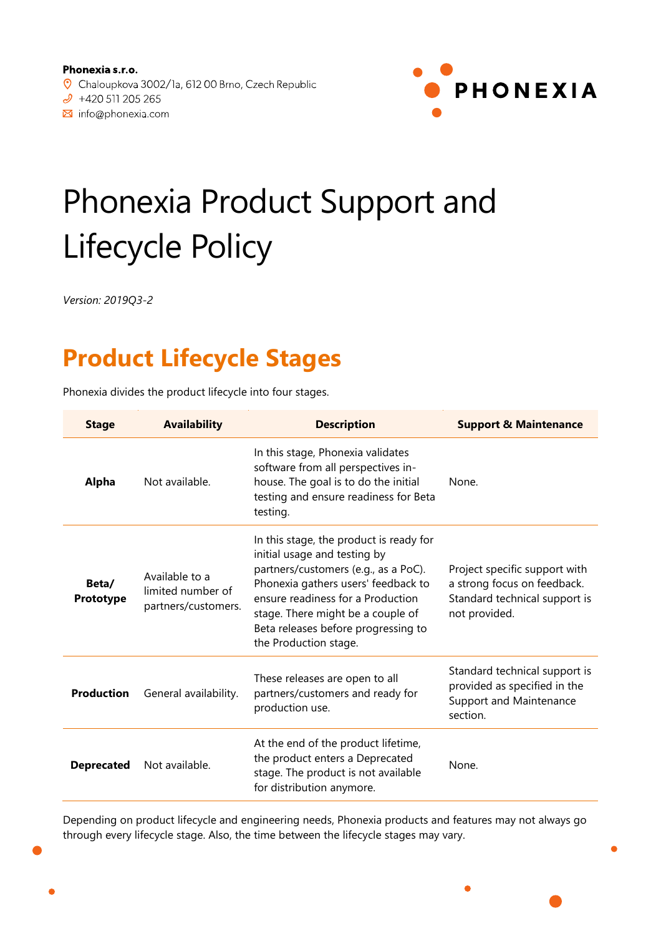Minfo@phonexia.com



# Phonexia Product Support and Lifecycle Policy

*Version: 2019Q3-2*

## **Product Lifecycle Stages**

Phonexia divides the product lifecycle into four stages.

| <b>Stage</b>       | <b>Availability</b>                                        | <b>Description</b>                                                                                                                                                                                                                                                                               | <b>Support &amp; Maintenance</b>                                                                               |
|--------------------|------------------------------------------------------------|--------------------------------------------------------------------------------------------------------------------------------------------------------------------------------------------------------------------------------------------------------------------------------------------------|----------------------------------------------------------------------------------------------------------------|
| <b>Alpha</b>       | Not available.                                             | In this stage, Phonexia validates<br>software from all perspectives in-<br>house. The goal is to do the initial<br>testing and ensure readiness for Beta<br>testing.                                                                                                                             | None.                                                                                                          |
| Beta/<br>Prototype | Available to a<br>limited number of<br>partners/customers. | In this stage, the product is ready for<br>initial usage and testing by<br>partners/customers (e.g., as a PoC).<br>Phonexia gathers users' feedback to<br>ensure readiness for a Production<br>stage. There might be a couple of<br>Beta releases before progressing to<br>the Production stage. | Project specific support with<br>a strong focus on feedback.<br>Standard technical support is<br>not provided. |
| <b>Production</b>  | General availability.                                      | These releases are open to all<br>partners/customers and ready for<br>production use.                                                                                                                                                                                                            | Standard technical support is<br>provided as specified in the<br>Support and Maintenance<br>section.           |
| <b>Deprecated</b>  | Not available.                                             | At the end of the product lifetime,<br>the product enters a Deprecated<br>stage. The product is not available<br>for distribution anymore.                                                                                                                                                       | None.                                                                                                          |

Depending on product lifecycle and engineering needs, Phonexia products and features may not always go through every lifecycle stage. Also, the time between the lifecycle stages may vary.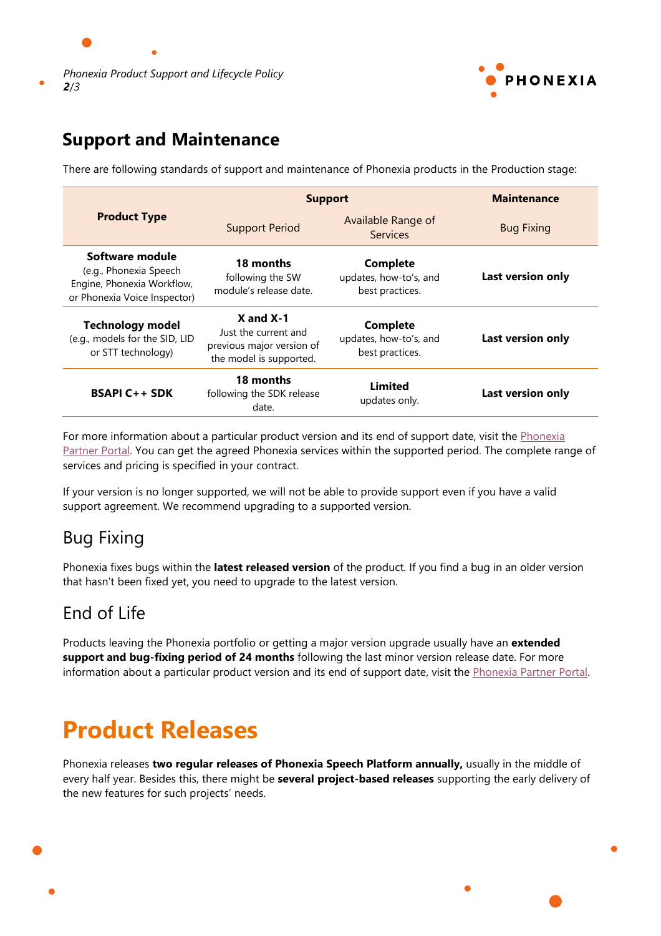



#### **Support and Maintenance**

There are following standards of support and maintenance of Phonexia products in the Production stage:

|                                                                                                         | <b>Support</b>                                                                                | <b>Maintenance</b>                                           |                   |
|---------------------------------------------------------------------------------------------------------|-----------------------------------------------------------------------------------------------|--------------------------------------------------------------|-------------------|
| <b>Product Type</b>                                                                                     | <b>Support Period</b>                                                                         | Available Range of<br><b>Services</b>                        | <b>Bug Fixing</b> |
| Software module<br>(e.g., Phonexia Speech<br>Engine, Phonexia Workflow,<br>or Phonexia Voice Inspector) | 18 months<br>following the SW<br>module's release date.                                       | <b>Complete</b><br>updates, how-to's, and<br>best practices. | Last version only |
| <b>Technology model</b><br>(e.g., models for the SID, LID<br>or STT technology)                         | $X$ and $X-1$<br>Just the current and<br>previous major version of<br>the model is supported. | <b>Complete</b><br>updates, how-to's, and<br>best practices. | Last version only |
| <b>BSAPI C++ SDK</b>                                                                                    | 18 months<br>following the SDK release<br>date.                                               | Limited<br>updates only.                                     | Last version only |

For more information about a particular product version and its end of support date, visit the Phonexia [Partner Portal.](https://partner.phonexia.com/lifecycle-policy/phonexia-product-support-lifecycle-policy/) You can get the agreed Phonexia services within the supported period. The complete range of services and pricing is specified in your contract.

If your version is no longer supported, we will not be able to provide support even if you have a valid support agreement. We recommend upgrading to a supported version.

### Bug Fixing

Phonexia fixes bugs within the **latest released version** of the product. If you find a bug in an older version that hasn't been fixed yet, you need to upgrade to the latest version.

### End of Life

Products leaving the Phonexia portfolio or getting a major version upgrade usually have an **extended support and bug-fixing period of 24 months** following the last minor version release date. For more information about a particular product version and its end of support date, visit the [Phonexia Partner Portal.](https://partner.phonexia.com/lifecycle-policy/phonexia-product-support-lifecycle-policy/)

## **Product Releases**

Phonexia releases **two regular releases of Phonexia Speech Platform annually,** usually in the middle of every half year. Besides this, there might be **several project-based releases** supporting the early delivery of the new features for such projects' needs.